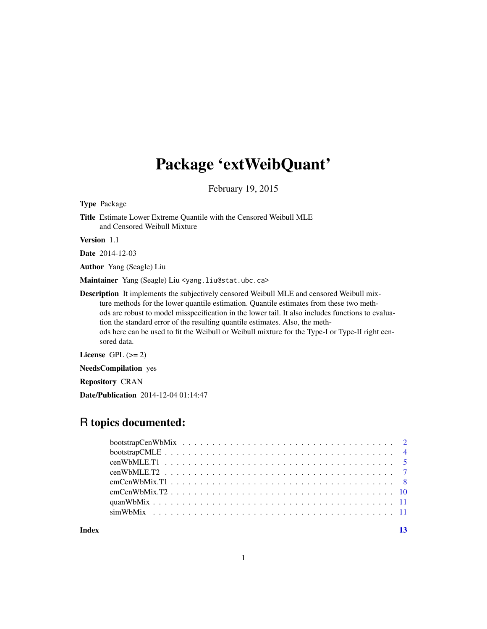## Package 'extWeibQuant'

February 19, 2015

<span id="page-0-0"></span>Type Package

Title Estimate Lower Extreme Quantile with the Censored Weibull MLE and Censored Weibull Mixture

Version 1.1

Date 2014-12-03

Author Yang (Seagle) Liu

Maintainer Yang (Seagle) Liu <yang.liu@stat.ubc.ca>

Description It implements the subjectively censored Weibull MLE and censored Weibull mixture methods for the lower quantile estimation. Quantile estimates from these two methods are robust to model misspecification in the lower tail. It also includes functions to evaluation the standard error of the resulting quantile estimates. Also, the methods here can be used to fit the Weibull or Weibull mixture for the Type-I or Type-II right censored data.

License GPL  $(>= 2)$ 

NeedsCompilation yes

Repository CRAN

Date/Publication 2014-12-04 01:14:47

### R topics documented:

| Index |  |
|-------|--|
|       |  |
|       |  |
|       |  |
|       |  |
|       |  |
|       |  |
|       |  |
|       |  |

1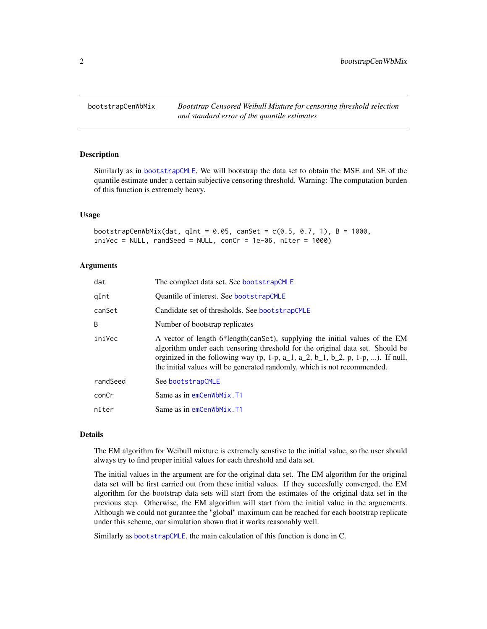<span id="page-1-1"></span><span id="page-1-0"></span>bootstrapCenWbMix *Bootstrap Censored Weibull Mixture for censoring threshold selection and standard error of the quantile estimates*

#### Description

Similarly as in [bootstrapCMLE](#page-3-1), We will bootstrap the data set to obtain the MSE and SE of the quantile estimate under a certain subjective censoring threshold. Warning: The computation burden of this function is extremely heavy.

#### Usage

```
bootstrapCenWbMix(dat, qInt = 0.05, canSet = c(0.5, 0.7, 1), B = 1000,
invec = NULL, randSeed = NULL, conCr = 1e-06, nIter = 1000)
```
#### Arguments

| dat      | The complect data set. See bootstrapCMLE                                                                                                                                                                                                                                                                                    |
|----------|-----------------------------------------------------------------------------------------------------------------------------------------------------------------------------------------------------------------------------------------------------------------------------------------------------------------------------|
| qInt     | Quantile of interest. See bootstrapCMLE                                                                                                                                                                                                                                                                                     |
| canSet   | Candidate set of thresholds. See bootstrapCMLE                                                                                                                                                                                                                                                                              |
| B        | Number of bootstrap replicates                                                                                                                                                                                                                                                                                              |
| iniVec   | A vector of length 6*length(canset), supplying the initial values of the EM<br>algorithm under each censoring threshold for the original data set. Should be<br>orginized in the following way (p, 1-p, a_1, a_2, b_1, b_2, p, 1-p, ). If null,<br>the initial values will be generated randomly, which is not recommended. |
| randSeed | See bootstrapCMLE                                                                                                                                                                                                                                                                                                           |
| conCr    | Same as in emCenWbMix.T1                                                                                                                                                                                                                                                                                                    |
| nIter    | Same as in emCenWbMix.T1                                                                                                                                                                                                                                                                                                    |

#### Details

The EM algorithm for Weibull mixture is extremely senstive to the initial value, so the user should always try to find proper initial values for each threshold and data set.

The initial values in the argument are for the original data set. The EM algorithm for the original data set will be first carried out from these initial values. If they succesfully converged, the EM algorithm for the bootstrap data sets will start from the estimates of the original data set in the previous step. Otherwise, the EM algorithm will start from the initial value in the arguements. Although we could not gurantee the "global" maximum can be reached for each bootstrap replicate under this scheme, our simulation shown that it works reasonably well.

Similarly as [bootstrapCMLE](#page-3-1), the main calculation of this function is done in C.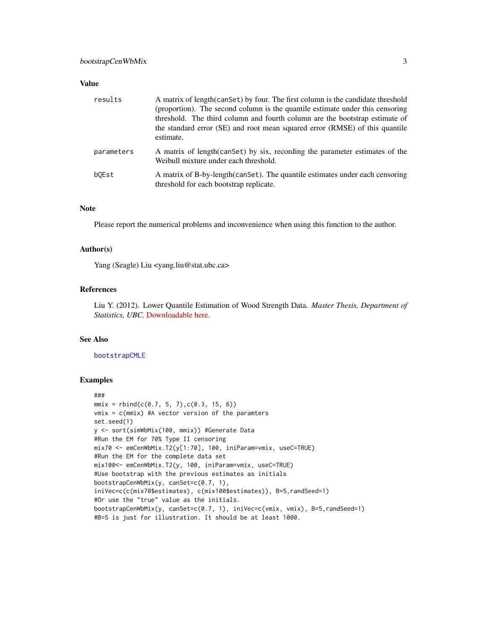<span id="page-2-0"></span>

| results    | A matrix of length (can Set) by four. The first column is the candidate threshold<br>(proportion). The second column is the quantile estimate under this censoring<br>threshold. The third column and fourth column are the bootstrap estimate of<br>the standard error (SE) and root mean squared error (RMSE) of this quantile<br>estimate. |
|------------|-----------------------------------------------------------------------------------------------------------------------------------------------------------------------------------------------------------------------------------------------------------------------------------------------------------------------------------------------|
| parameters | A matrix of length (can Set) by six, recording the parameter estimates of the<br>Weibull mixture under each threshold.                                                                                                                                                                                                                        |
| bOEst      | A matrix of B-by-length (can Set). The quantile estimates under each censoring<br>threshold for each bootstrap replicate.                                                                                                                                                                                                                     |

#### Note

Please report the numerical problems and inconvenience when using this function to the author.

#### Author(s)

Yang (Seagle) Liu <yang.liu@stat.ubc.ca>

#### References

Liu Y. (2012). Lower Quantile Estimation of Wood Strength Data. *Master Thesis, Department of Statistics, UBC.* [Downloadable here.](https://circle.ubc.ca/bitstream/handle/2429/43067/ubc_2012_fall_liu_yang.pdf?sequence=10)

#### See Also

[bootstrapCMLE](#page-3-1)

```
###
mmix = rbind(c(0.7, 5, 7), c(0.3, 15, 6))vmix = c(mmix) #A vector version of the paramters
set.seed(1)
y <- sort(simWbMix(100, mmix)) #Generate Data
#Run the EM for 70% Type II censoring
mix70 <- emCenWbMix.T2(y[1:70], 100, iniParam=vmix, useC=TRUE)
#Run the EM for the complete data set
mix100<- emCenWbMix.T2(y, 100, iniParam=vmix, useC=TRUE)
#Use bootstrap with the previous estimates as initials
bootstrapCenWbMix(y, canSet=c(0.7, 1),
iniVec=c(c(mix70$estimates), c(mix100$estimates)), B=5,randSeed=1)
#Or use the "true" value as the initials.
bootstrapCenWbMix(y, canSet=c(0.7, 1), iniVec=c(vmix, vmix), B=5,randSeed=1)
#B=5 is just for illustration. It should be at least 1000.
```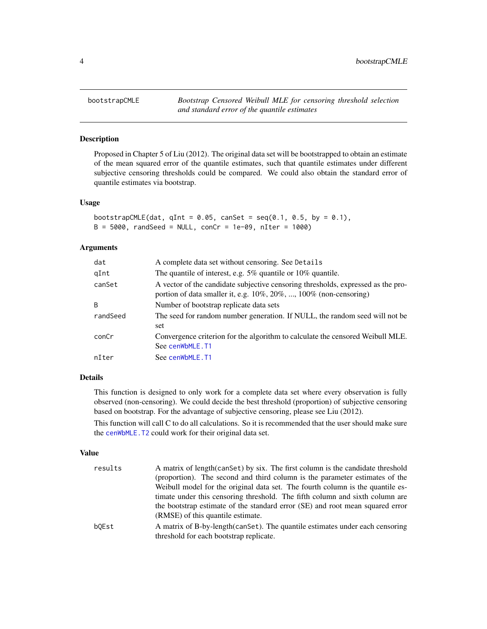<span id="page-3-1"></span><span id="page-3-0"></span>

Proposed in Chapter 5 of Liu (2012). The original data set will be bootstrapped to obtain an estimate of the mean squared error of the quantile estimates, such that quantile estimates under different subjective censoring thresholds could be compared. We could also obtain the standard error of quantile estimates via bootstrap.

#### Usage

```
bootstrapCMLE(dat, qInt = 0.05, canSet = seq(0.1, 0.5, by = 0.1),
B = 5000, randSeed = NULL, conCr = 1e-09, nIter = 1000)
```
#### Arguments

| dat      | A complete data set without censoring. See Details                                                                                                              |
|----------|-----------------------------------------------------------------------------------------------------------------------------------------------------------------|
| qInt     | The quantile of interest, e.g. $5\%$ quantile or $10\%$ quantile.                                                                                               |
| canSet   | A vector of the candidate subjective censoring thresholds, expressed as the pro-<br>portion of data smaller it, e.g. $10\%, 20\%, \dots, 100\%$ (non-censoring) |
| B        | Number of bootstrap replicate data sets                                                                                                                         |
| randSeed | The seed for random number generation. If NULL, the random seed will not be<br>set                                                                              |
| conCr    | Convergence criterion for the algorithm to calculate the censored Weibull MLE.<br>See cenWbMLE.T1                                                               |
| nIter    | See cenWbMLE.T1                                                                                                                                                 |

#### Details

This function is designed to only work for a complete data set where every observation is fully observed (non-censoring). We could decide the best threshold (proportion) of subjective censoring based on bootstrap. For the advantage of subjective censoring, please see Liu (2012).

This function will call C to do all calculations. So it is recommended that the user should make sure the [cenWbMLE.T2](#page-6-1) could work for their original data set.

#### Value

| results | A matrix of length (can Set) by six. The first column is the candidate threshold                                          |
|---------|---------------------------------------------------------------------------------------------------------------------------|
|         | (proportion). The second and third column is the parameter estimates of the                                               |
|         | Weibull model for the original data set. The fourth column is the quantile es-                                            |
|         | timate under this censoring threshold. The fifth column and sixth column are                                              |
|         | the bootstrap estimate of the standard error (SE) and root mean squared error<br>(RMSE) of this quantile estimate.        |
| bOEst   | A matrix of B-by-length (can Set). The quantile estimates under each censoring<br>threshold for each bootstrap replicate. |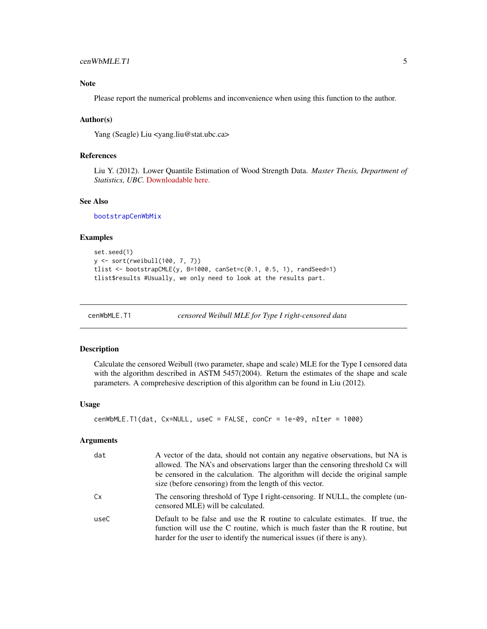#### <span id="page-4-0"></span>Note

Please report the numerical problems and inconvenience when using this function to the author.

#### Author(s)

Yang (Seagle) Liu <yang.liu@stat.ubc.ca>

#### References

Liu Y. (2012). Lower Quantile Estimation of Wood Strength Data. *Master Thesis, Department of Statistics, UBC.* [Downloadable here.](https://circle.ubc.ca/bitstream/handle/2429/43067/ubc_2012_fall_liu_yang.pdf?sequence=10)

#### See Also

[bootstrapCenWbMix](#page-1-1)

#### Examples

```
set.seed(1)
y <- sort(rweibull(100, 7, 7))
tlist <- bootstrapCMLE(y, B=1000, canSet=c(0.1, 0.5, 1), randSeed=1)
tlist$results #Usually, we only need to look at the results part.
```
<span id="page-4-1"></span>

cenWbMLE.T1 *censored Weibull MLE for Type I right-censored data*

#### Description

Calculate the censored Weibull (two parameter, shape and scale) MLE for the Type I censored data with the algorithm described in ASTM 5457(2004). Return the estimates of the shape and scale parameters. A comprehesive description of this algorithm can be found in Liu (2012).

#### Usage

```
cenWbMLE.T1(dat, Cx=NULL, useC = FALSE, conCr = 1e-09, nIter = 1000)
```
#### Arguments

| dat  | A vector of the data, should not contain any negative observations, but NA is<br>allowed. The NA's and observations larger than the censoring threshold Cx will<br>be censored in the calculation. The algorithm will decide the original sample<br>size (before censoring) from the length of this vector. |
|------|-------------------------------------------------------------------------------------------------------------------------------------------------------------------------------------------------------------------------------------------------------------------------------------------------------------|
| Cx   | The censoring threshold of Type I right-censoring. If NULL, the complete (un-<br>censored MLE) will be calculated.                                                                                                                                                                                          |
| useC | Default to be false and use the R routine to calculate estimates. If true, the<br>function will use the C routine, which is much faster than the R routine, but<br>harder for the user to identify the numerical issues (if there is any).                                                                  |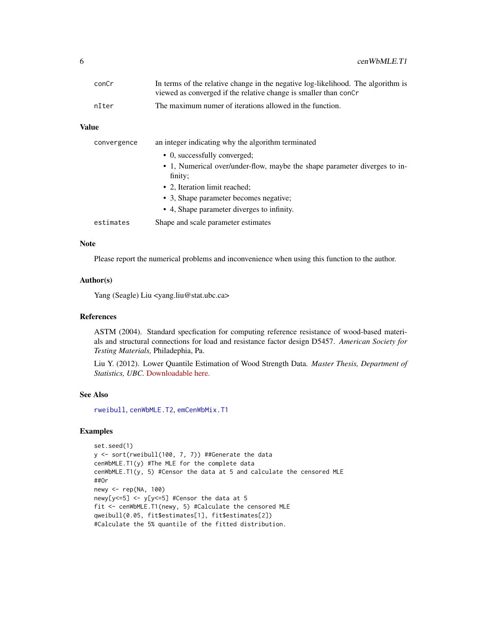<span id="page-5-0"></span>

| conCr | In terms of the relative change in the negative log-likelihood. The algorithm is |
|-------|----------------------------------------------------------------------------------|
|       | viewed as converged if the relative change is smaller than concr                 |
| nIter | The maximum numer of iterations allowed in the function.                         |

| convergence | an integer indicating why the algorithm terminated                                   |
|-------------|--------------------------------------------------------------------------------------|
|             | • 0, successfully converged;                                                         |
|             | • 1, Numerical over/under-flow, maybe the shape parameter diverges to in-<br>finity; |
|             | • 2. Iteration limit reached:                                                        |
|             | • 3. Shape parameter becomes negative;                                               |
|             | • 4, Shape parameter diverges to infinity.                                           |
| estimates   | Shape and scale parameter estimates                                                  |
|             |                                                                                      |

#### Note

Please report the numerical problems and inconvenience when using this function to the author.

#### Author(s)

Yang (Seagle) Liu <yang.liu@stat.ubc.ca>

#### References

ASTM (2004). Standard specfication for computing reference resistance of wood-based materials and structural connections for load and resistance factor design D5457. *American Society for Testing Materials,* Philadephia, Pa.

Liu Y. (2012). Lower Quantile Estimation of Wood Strength Data. *Master Thesis, Department of Statistics, UBC.* [Downloadable here.](https://circle.ubc.ca/bitstream/handle/2429/43067/ubc_2012_fall_liu_yang.pdf?sequence=10)

#### See Also

[rweibull](#page-0-0), [cenWbMLE.T2](#page-6-1), [emCenWbMix.T1](#page-7-1)

```
set.seed(1)
y <- sort(rweibull(100, 7, 7)) ##Generate the data
cenWbMLE.T1(y) #The MLE for the complete data
cenWbMLE.T1(y, 5) #Censor the data at 5 and calculate the censored MLE
##Or
newy <- rep(NA, 100)
newy[y<=5] <- y[y<=5] #Censor the data at 5
fit <- cenWbMLE.T1(newy, 5) #Calculate the censored MLE
qweibull(0.05, fit$estimates[1], fit$estimates[2])
#Calculate the 5% quantile of the fitted distribution.
```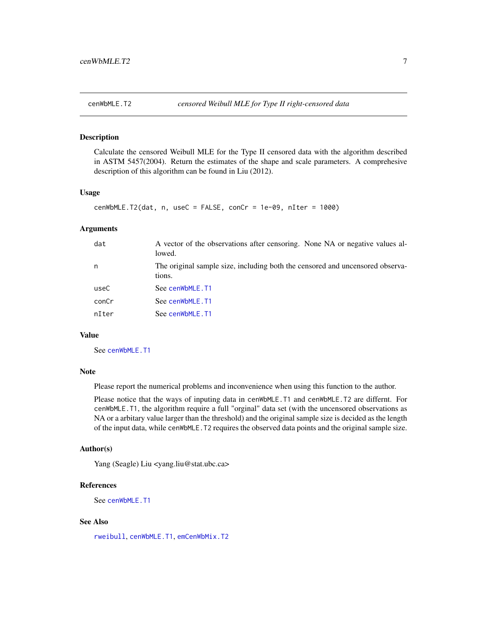<span id="page-6-1"></span><span id="page-6-0"></span>Calculate the censored Weibull MLE for the Type II censored data with the algorithm described in ASTM 5457(2004). Return the estimates of the shape and scale parameters. A comprehesive description of this algorithm can be found in Liu (2012).

#### Usage

```
cenWbMLE.T2(dat, n, useC = FALSE, conCr = 1e-09, nIter = 1000)
```
#### Arguments

| dat   | A vector of the observations after censoring. None NA or negative values al-<br>lowed.  |
|-------|-----------------------------------------------------------------------------------------|
| n     | The original sample size, including both the censored and uncensored observa-<br>tions. |
| useC  | See cenWbMLE.T1                                                                         |
| conCr | See cenWbMLE.T1                                                                         |
| nIter | See cenWbMLE.T1                                                                         |

#### Value

See [cenWbMLE.T1](#page-4-1)

#### Note

Please report the numerical problems and inconvenience when using this function to the author.

Please notice that the ways of inputing data in cenWbMLE.T1 and cenWbMLE.T2 are differnt. For cenWbMLE.T1, the algorithm require a full "orginal" data set (with the uncensored observations as NA or a arbitary value larger than the threshold) and the original sample size is decided as the length of the input data, while cenWbMLE.T2 requires the observed data points and the original sample size.

#### Author(s)

Yang (Seagle) Liu <yang.liu@stat.ubc.ca>

#### References

See [cenWbMLE.T1](#page-4-1)

#### See Also

[rweibull](#page-0-0), [cenWbMLE.T1](#page-4-1), [emCenWbMix.T2](#page-9-1)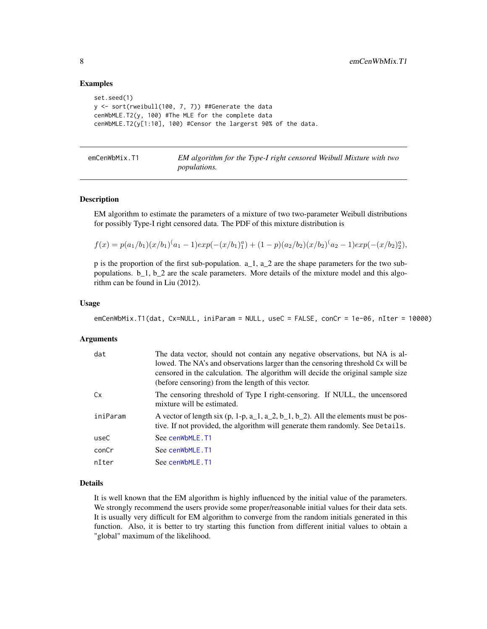#### Examples

```
set.seed(1)
y \le sort(rweibull(100, 7, 7)) ##Generate the data
cenWbMLE.T2(y, 100) #The MLE for the complete data
cenWbMLE.T2(y[1:10], 100) #Censor the largerst 90% of the data.
```
<span id="page-7-1"></span>

| emCenWbMix.T1 | EM algorithm for the Type-I right censored Weibull Mixture with two |
|---------------|---------------------------------------------------------------------|
|               | <i>populations.</i>                                                 |

#### Description

EM algorithm to estimate the parameters of a mixture of two two-parameter Weibull distributions for possibly Type-I right censored data. The PDF of this mixture distribution is

$$
f(x) = p(a_1/b_1)(x/b_1)^{(a_1 - 1)}exp(-(x/b_1)_1^a) + (1 - p)(a_2/b_2)(x/b_2)^{(a_2 - 1)}exp(-(x/b_2)_2^a),
$$

p is the proportion of the first sub-population. a\_1, a\_2 are the shape parameters for the two subpopulations. b\_1, b\_2 are the scale parameters. More details of the mixture model and this algorithm can be found in Liu (2012).

#### Usage

```
emCenWbMix.T1(dat, Cx=NULL, iniParam = NULL, useC = FALSE, conCr = 1e-06, nIter = 10000)
```
#### Arguments

| dat      | The data vector, should not contain any negative observations, but NA is al-<br>lowed. The NA's and observations larger than the censoring threshold Cx will be<br>censored in the calculation. The algorithm will decide the original sample size<br>(before censoring) from the length of this vector. |
|----------|----------------------------------------------------------------------------------------------------------------------------------------------------------------------------------------------------------------------------------------------------------------------------------------------------------|
| Cx       | The censoring threshold of Type I right-censoring. If NULL, the uncensored<br>mixture will be estimated.                                                                                                                                                                                                 |
| iniParam | A vector of length six $(p, 1-p, a_1, a_2, b_1, b_2)$ . All the elements must be pos-<br>tive. If not provided, the algorithm will generate them randomly. See Details.                                                                                                                                  |
| useC     | See cenWbMLE.T1                                                                                                                                                                                                                                                                                          |
| conCr    | See cenWbMLE.T1                                                                                                                                                                                                                                                                                          |
| nIter    | See cenWbMLE.T1                                                                                                                                                                                                                                                                                          |

#### Details

It is well known that the EM algorithm is highly influenced by the initial value of the parameters. We strongly recommend the users provide some proper/reasonable initial values for their data sets. It is usually very difficult for EM algorithm to converge from the random initials generated in this function. Also, it is better to try starting this function from different initial values to obtain a "global" maximum of the likelihood.

<span id="page-7-0"></span>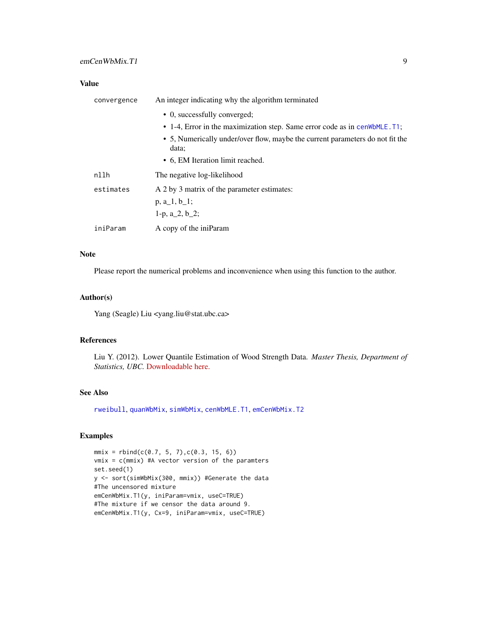<span id="page-8-0"></span>

| convergence | An integer indicating why the algorithm terminated                                     |
|-------------|----------------------------------------------------------------------------------------|
|             | • 0, successfully converged;                                                           |
|             | • 1-4, Error in the maximization step. Same error code as in cen WbMLE. T1;            |
|             | • 5, Numerically under/over flow, maybe the current parameters do not fit the<br>data: |
|             | • 6, EM Iteration limit reached.                                                       |
| nllh        | The negative log-likelihood                                                            |
| estimates   | A 2 by 3 matrix of the parameter estimates:                                            |
|             | $p, a_1, b_1;$                                                                         |
|             | 1-p, $a_2$ , $b_2$ ;                                                                   |
| iniParam    | A copy of the iniParam                                                                 |

#### Note

Please report the numerical problems and inconvenience when using this function to the author.

#### Author(s)

Yang (Seagle) Liu <yang.liu@stat.ubc.ca>

#### References

Liu Y. (2012). Lower Quantile Estimation of Wood Strength Data. *Master Thesis, Department of Statistics, UBC.* [Downloadable here.](https://circle.ubc.ca/bitstream/handle/2429/43067/ubc_2012_fall_liu_yang.pdf?sequence=10)

#### See Also

[rweibull](#page-0-0), [quanWbMix](#page-10-1), [simWbMix](#page-10-2), [cenWbMLE.T1](#page-4-1), [emCenWbMix.T2](#page-9-1)

```
mmix = rbind(c(0.7, 5, 7), c(0.3, 15, 6))vmix = c(mmix) #A vector version of the paramters
set.seed(1)
y <- sort(simWbMix(300, mmix)) #Generate the data
#The uncensored mixture
emCenWbMix.T1(y, iniParam=vmix, useC=TRUE)
#The mixture if we censor the data around 9.
emCenWbMix.T1(y, Cx=9, iniParam=vmix, useC=TRUE)
```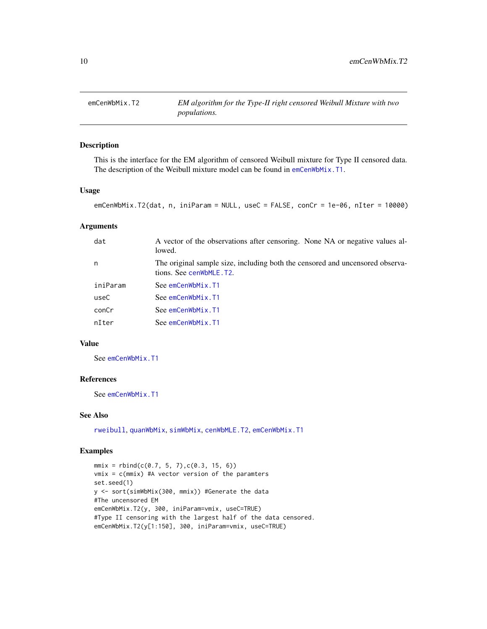<span id="page-9-1"></span><span id="page-9-0"></span>

This is the interface for the EM algorithm of censored Weibull mixture for Type II censored data. The description of the Weibull mixture model can be found in [emCenWbMix.T1](#page-7-1).

#### Usage

```
emCenWbMix.T2(dat, n, iniParam = NULL, useC = FALSE, conCr = 1e-06, nIter = 10000)
```
#### Arguments

| dat      | A vector of the observations after censoring. None NA or negative values al-<br>lowed.                   |
|----------|----------------------------------------------------------------------------------------------------------|
| n        | The original sample size, including both the censored and uncensored observa-<br>tions. See cenwbMLE.T2. |
| iniParam | See emCenWbMix.T1                                                                                        |
| useC     | See emCenWbMix.T1                                                                                        |
| conCr    | See emCenWbMix.T1                                                                                        |
| nIter    | See emCenWbMix.T1                                                                                        |
|          |                                                                                                          |

#### Value

See [emCenWbMix.T1](#page-7-1)

#### References

See [emCenWbMix.T1](#page-7-1)

#### See Also

[rweibull](#page-0-0), [quanWbMix](#page-10-1), [simWbMix](#page-10-2), [cenWbMLE.T2](#page-6-1), [emCenWbMix.T1](#page-7-1)

```
mmix = rbind(c(0.7, 5, 7), c(0.3, 15, 6))vmix = c(mmix) #A vector version of the paramters
set.seed(1)
y <- sort(simWbMix(300, mmix)) #Generate the data
#The uncensored EM
emCenWbMix.T2(y, 300, iniParam=vmix, useC=TRUE)
#Type II censoring with the largest half of the data censored.
emCenWbMix.T2(y[1:150], 300, iniParam=vmix, useC=TRUE)
```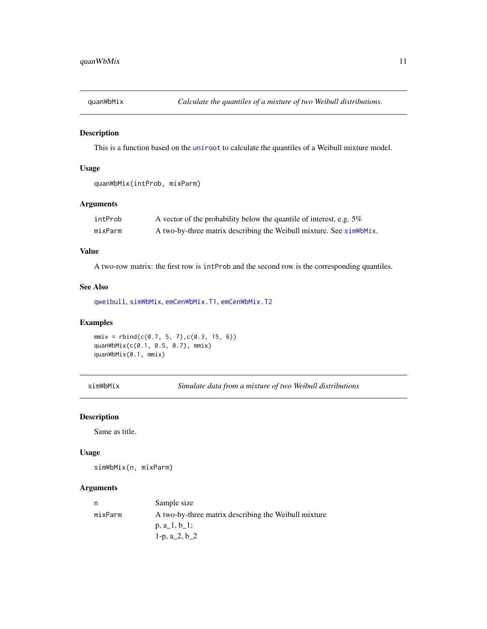<span id="page-10-1"></span><span id="page-10-0"></span>

This is a function based on the [uniroot](#page-0-0) to calculate the quantiles of a Weibull mixture model.

#### Usage

```
quanWbMix(intProb, mixParm)
```
#### Arguments

| intProb | A vector of the probability below the quantile of interest, e.g. $5\%$ |
|---------|------------------------------------------------------------------------|
| mixParm | A two-by-three matrix describing the Weibull mixture. See simWbMix.    |

#### Value

A two-row matrix: the first row is intProb and the second row is the corresponding quantiles.

#### See Also

[qweibull](#page-0-0), [simWbMix](#page-10-2), [emCenWbMix.T1](#page-7-1), [emCenWbMix.T2](#page-9-1)

#### Examples

```
mmix = rbind(c(0.7, 5, 7), c(0.3, 15, 6))quanWbMix(c(0.1, 0.5, 0.7), mmix)
quanWbMix(0.1, mmix)
```
<span id="page-10-2"></span>simWbMix *Simulate data from a mixture of two Weibull distributions*

#### Description

Same as title.

#### Usage

simWbMix(n, mixParm)

#### Arguments

| n       | Sample size                                          |
|---------|------------------------------------------------------|
| mixParm | A two-by-three matrix describing the Weibull mixture |
|         | $p, a_1, b_1;$                                       |
|         | 1-p, $a_2$ , $b_2$                                   |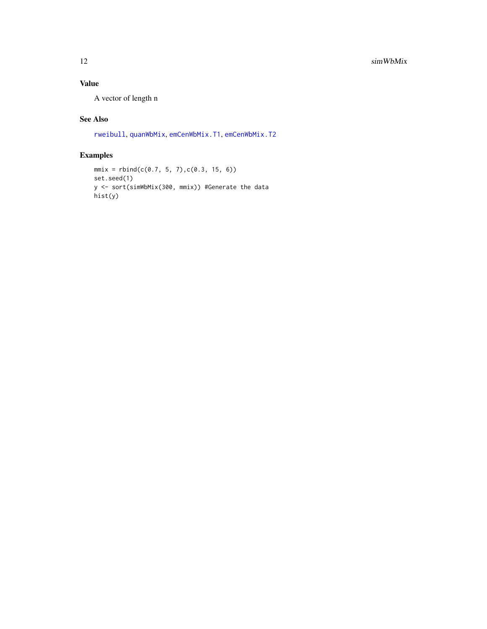<span id="page-11-0"></span>A vector of length n

#### See Also

[rweibull](#page-0-0), [quanWbMix](#page-10-1), [emCenWbMix.T1](#page-7-1), [emCenWbMix.T2](#page-9-1)

```
mmix = rbind(c(0.7, 5, 7), c(0.3, 15, 6))set.seed(1)
y <- sort(simWbMix(300, mmix)) #Generate the data
hist(y)
```